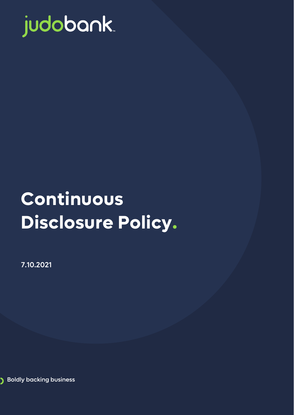

# **Continuous Disclosure Policy.**

7.10.2021

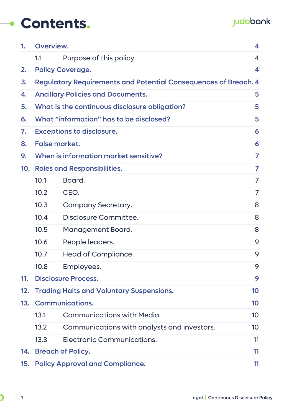### **Contents.**

### judobank.

| 1.  | Overview.                                                              |                                                 |    |  |
|-----|------------------------------------------------------------------------|-------------------------------------------------|----|--|
|     | 1.1                                                                    | Purpose of this policy.                         | 4  |  |
| 2.  |                                                                        | <b>Policy Coverage.</b>                         | 4  |  |
| 3.  | <b>Regulatory Requirements and Potential Consequences of Breach. 4</b> |                                                 |    |  |
| 4.  |                                                                        | <b>Ancillary Policies and Documents.</b>        | 5  |  |
| 5.  |                                                                        | What is the continuous disclosure obligation?   | 5  |  |
| 6.  |                                                                        | What "information" has to be disclosed?         | 5  |  |
| 7.  | <b>Exceptions to disclosure.</b><br>6                                  |                                                 |    |  |
| 8.  |                                                                        | <b>False market.</b>                            | 6  |  |
| 9.  | When is information market sensitive?<br>7                             |                                                 |    |  |
| 10. | <b>Roles and Responsibilities.</b>                                     |                                                 |    |  |
|     | 10.1                                                                   | Board.                                          | 7  |  |
|     | 10.2                                                                   | CEO.                                            |    |  |
|     | 10.3                                                                   | <b>Company Secretary.</b>                       | 8  |  |
|     | 10.4                                                                   | Disclosure Committee.                           | 8  |  |
|     | 10.5                                                                   | Management Board.                               | 8  |  |
|     | 10.6                                                                   | People leaders.                                 | 9  |  |
|     | 10.7                                                                   | Head of Compliance.                             | 9  |  |
|     | 10.8                                                                   | Employees.                                      | 9  |  |
| 11. |                                                                        | <b>Disclosure Process.</b>                      | 9  |  |
| 12. |                                                                        | <b>Trading Halts and Voluntary Suspensions.</b> | 10 |  |
| 13. |                                                                        | <b>Communications.</b>                          | 10 |  |
|     | 13.1                                                                   | <b>Communications with Media.</b>               | 10 |  |
|     | 13.2                                                                   | Communications with analysts and investors.     | 10 |  |
|     | 13.3                                                                   | Electronic Communications.                      | 11 |  |
| 14. |                                                                        | <b>Breach of Policy.</b>                        | 11 |  |
| 15. | <b>Policy Approval and Compliance.</b><br>11                           |                                                 |    |  |

 $\overline{\phantom{0}}$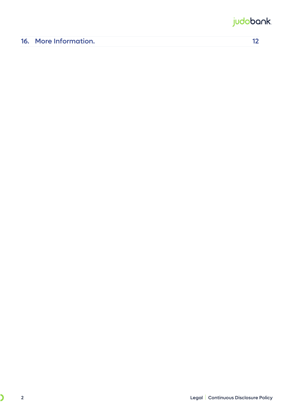### judobank.

| <b>16. More Information.</b> |  |
|------------------------------|--|
|------------------------------|--|

 $\overline{\phantom{0}}$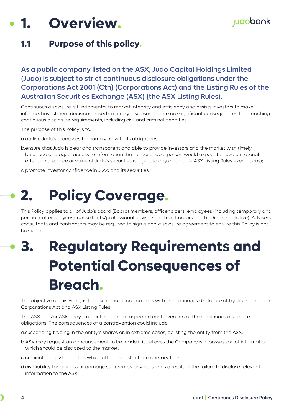# <span id="page-3-0"></span>**1. Overview.**

### <span id="page-3-1"></span>**1.1 Purpose of this policy.**

#### As a public company listed on the ASX, Judo Capital Holdings Limited (Judo) is subject to strict continuous disclosure obligations under the Corporations Act 2001 (Cth) (Corporations Act) and the Listing Rules of the Australian Securities Exchange (ASX) (the ASX Listing Rules).

Continuous disclosure is fundamental to market integrity and efficiency and assists investors to make informed investment decisions based on timely disclosure. There are significant consequences for breaching continuous disclosure requirements, including civil and criminal penalties.

The purpose of this Policy is to:

a.outline Judo's processes for complying with its obligations;

b.ensure that Judo is clear and transparent and able to provide investors and the market with timely, balanced and equal access to information that a reasonable person would expect to have a material effect on the price or value of Judo's securities (subject to any applicable ASX Listing Rules exemptions);

<span id="page-3-2"></span>c.promote investor confidence in Judo and its securities.

# **2. Policy Coverage.**

This Policy applies to all of Judo's board (Board) members, officeholders, employees (including temporary and permanent employees), consultants/professional advisers and contractors (each a Representative). Advisers, consultants and contractors may be required to sign a non-disclosure agreement to ensure this Policy is not breached.

# <span id="page-3-3"></span>**3. Regulatory Requirements and Potential Consequences of Breach.**

The objective of this Policy is to ensure that Judo complies with its continuous disclosure obligations under the Corporations Act and ASX Listing Rules.

The ASX and/or ASIC may take action upon a suspected contravention of the continuous disclosure obligations. The consequences of a contravention could include:

a.suspending trading in the entity's shares or, in extreme cases, delisting the entity from the ASX;

b.ASX may request an announcement to be made if it believes the Company is in possession of information which should be disclosed to the market.

c.criminal and civil penalties which attract substantial monetary fines;

d.civil liability for any loss or damage suffered by any person as a result of the failure to disclose relevant information to the ASX;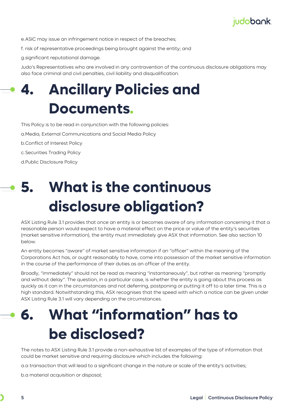

e.ASIC may issue an infringement notice in respect of the breaches;

f. risk of representative proceedings being brought against the entity; and

g.significant reputational damage.

Judo's Representatives who are involved in any contravention of the continuous disclosure obligations may also face criminal and civil penalties, civil liability and disqualification.

### <span id="page-4-0"></span>**4. Ancillary Policies and Documents.**

This Policy is to be read in conjunction with the following policies:

a.Media, External Communications and Social Media Policy

b.Conflict of Interest Policy

c.Securities Trading Policy

d.Public Disclosure Policy

# <span id="page-4-1"></span>**5. What is the continuous disclosure obligation?**

ASX Listing Rule 3.1 provides that once an entity is or becomes aware of any information concerning it that a reasonable person would expect to have a material effect on the price or value of the entity's securities (market sensitive information), the entity must immediately give ASX that information. See also section 10 below.

An entity becomes "aware" of market sensitive information if an "officer" within the meaning of the Corporations Act has, or ought reasonably to have, come into possession of the market sensitive information in the course of the performance of their duties as an officer of the entity.

Broadly, "immediately" should not be read as meaning "instantaneously", but rather as meaning "promptly and without delay". The question, in a particular case, is whether the entity is going about this process as quickly as it can in the circumstances and not deferring, postponing or putting it off to a later time. This is a high standard. Notwithstanding this, ASX recognises that the speed with which a notice can be given under ASX Listing Rule 3.1 will vary depending on the circumstances.

# <span id="page-4-2"></span>**6. What "information" has to be disclosed?**

The notes to ASX Listing Rule 3.1 provide a non-exhaustive list of examples of the type of information that could be market sensitive and requiring disclosure which includes the following:

a.a transaction that will lead to a significant change in the nature or scale of the entity's activities;

b.a material acquisition or disposal;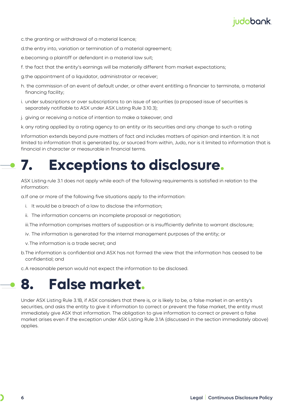

- c.the granting or withdrawal of a material licence;
- d.the entry into, variation or termination of a material agreement;
- e.becoming a plaintiff or defendant in a material law suit;
- f. the fact that the entity's earnings will be materially different from market expectations;
- g.the appointment of a liquidator, administrator or receiver;
- h. the commission of an event of default under, or other event entitling a financier to terminate, a material financing facility;
- i. under subscriptions or over subscriptions to an issue of securities (a proposed issue of securities is separately notifiable to ASX under ASX Listing Rule 3.10.3);
- j. giving or receiving a notice of intention to make a takeover; and
- k. any rating applied by a rating agency to an entity or its securities and any change to such a rating

Information extends beyond pure matters of fact and includes matters of opinion and intention. It is not limited to information that is generated by, or sourced from within, Judo, nor is it limited to information that is financial in character or measurable in financial terms.

# <span id="page-5-0"></span>**7. Exceptions to disclosure.**

ASX Listing rule 3.1 does not apply while each of the following requirements is satisfied in relation to the information:

a.If one or more of the following five situations apply to the information:

- i. It would be a breach of a law to disclose the information;
- ii. The information concerns an incomplete proposal or negotiation;
- iii.The information comprises matters of supposition or is insufficiently definite to warrant disclosure;
- iv. The information is generated for the internal management purposes of the entity; or
- v.The information is a trade secret; and
- b.The information is confidential and ASX has not formed the view that the information has ceased to be confidential; and
- c.A reasonable person would not expect the information to be disclosed.

### <span id="page-5-1"></span>**8. False market.**

Under ASX Listing Rule 3.1B, if ASX considers that there is, or is likely to be, a false market in an entity's securities, and asks the entity to give it information to correct or prevent the false market, the entity must immediately give ASX that information. The obligation to give information to correct or prevent a false market arises even if the exception under ASX Listing Rule 3.1A (discussed in the section immediately above) applies.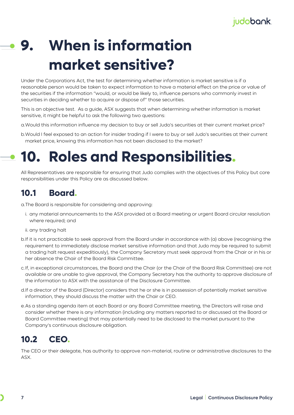# <span id="page-6-0"></span>**9. When is information market sensitive?**

Under the Corporations Act, the test for determining whether information is market sensitive is if a reasonable person would be taken to expect information to have a material effect on the price or value of the securities if the information "would, or would be likely to, influence persons who commonly invest in securities in deciding whether to acquire or dispose of" those securities.

This is an objective test. As a guide, ASX suggests that when determining whether information is market sensitive, it might be helpful to ask the following two questions:

a.Would this information influence my decision to buy or sell Judo's securities at their current market price?

b.Would I feel exposed to an action for insider trading if I were to buy or sell Judo's securities at their current market price, knowing this information has not been disclosed to the market?

# <span id="page-6-1"></span>**10. Roles and Responsibilities.**

All Representatives are responsible for ensuring that Judo complies with the objectives of this Policy but core responsibilities under this Policy are as discussed below.

### <span id="page-6-2"></span>**10.1 Board.**

a.The Board is responsible for considering and approving:

- i. any material announcements to the ASX provided at a Board meeting or urgent Board circular resolution where required; and
- ii. any trading halt
- b.If it is not practicable to seek approval from the Board under in accordance with (a) above (recognising the requirement to immediately disclose market sensitive information and that Judo may be required to submit a trading halt request expeditiously), the Company Secretary must seek approval from the Chair or in his or her absence the Chair of the Board Risk Committee.
- c.If, in exceptional circumstances, the Board and the Chair (or the Chair of the Board Risk Committee) are not available or are unable to give approval, the Company Secretary has the authority to approve disclosure of the information to ASX with the assistance of the Disclosure Committee.
- d.If a director of the Board (Director) considers that he or she is in possession of potentially market sensitive information, they should discuss the matter with the Chair or CEO.
- e.As a standing agenda item at each Board or any Board Committee meeting, the Directors will raise and consider whether there is any information (including any matters reported to or discussed at the Board or Board Committee meeting) that may potentially need to be disclosed to the market pursuant to the Company's continuous disclosure obligation.

### <span id="page-6-3"></span>**10.2 CEO.**

The CEO or their delegate, has authority to approve non-material, routine or administrative disclosures to the ASX.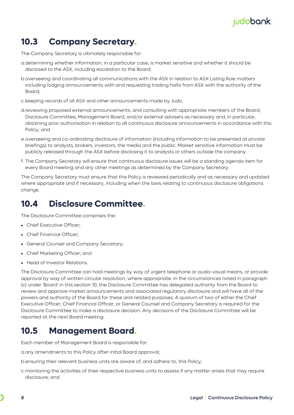### judobank.

### <span id="page-7-0"></span>**10.3 Company Secretary.**

The Company Secretary is ultimately responsible for:

- a.determining whether information, in a particular case, is market sensitive and whether it should be disclosed to the ASX, including escalation to the Board;
- b.overseeing and coordinating all communications with the ASX in relation to ASX Listing Rule matters including lodging announcements with and requesting trading halts from ASX with the authority of the Board;
- c.keeping records of all ASX and other announcements made by Judo;
- d.reviewing proposed external announcements, and consulting with appropriate members of the Board, Disclosure Committee, Management Board, and/or external advisers as necessary and, in particular, obtaining prior authorisation in relation to all continuous disclosure announcements in accordance with this Policy; and
- e.overseeing and co-ordinating disclosure of information (including information to be presented at private briefings) to analysts, brokers, investors, the media and the public. Market sensitive information must be publicly released through the ASX before disclosing it to analysts or others outside the company.
- f. The Company Secretary will ensure that continuous disclosure issues will be a standing agenda item for every Board meeting and any other meetings as determined by the Company Secretary.

The Company Secretary must ensure that this Policy is reviewed periodically and as necessary and updated where appropriate and if necessary, including when the laws relating to continuous disclosure obligations change.

### <span id="page-7-1"></span>**10.4 Disclosure Committee.**

The Disclosure Committee comprises the:

- Chief Executive Officer:
- Chief Financial Officer;
- General Counsel and Company Secretary;
- Chief Marketing Officer; and
- Head of Investor Relations.

The Disclosure Committee can hold meetings by way of urgent telephone or audio-visual means, or provide approval by way of written circular resolution, where appropriate. In the circumstances noted in paragraph (c) under 'Board' in this section 10, the Disclosure Committee has delegated authority from the Board to review and approve market announcements and associated regulatory disclosure and will have all of the powers and authority of the Board for these and related purposes. A quorum of two of either the Chief Executive Officer, Chief Financial Officer, or General Counsel and Company Secretary is required for the Disclosure Committee to make a disclosure decision. Any decisions of the Disclosure Committee will be reported at the next Board meeting.

### <span id="page-7-2"></span>**10.5 Management Board.**

Each member of Management Board is responsible for:

a.any amendments to this Policy after initial Board approval;

b.ensuring their relevant business units are aware of, and adhere to, this Policy;

c.monitoring the activities of their respective business units to assess if any matter arises that may require disclosure; and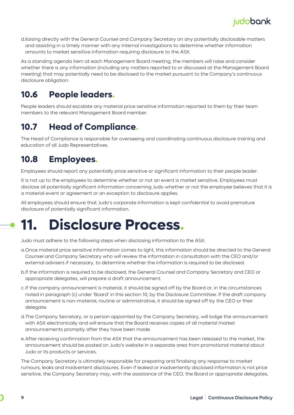

d.liaising directly with the General Counsel and Company Secretary on any potentially disclosable matters and assisting in a timely manner with any internal investigations to determine whether information amounts to market sensitive information requiring disclosure to the ASX.

As a standing agenda item at each Management Board meeting, the members will raise and consider whether there is any information (including any matters reported to or discussed at the Management Board meeting) that may potentially need to be disclosed to the market pursuant to the Company's continuous disclosure obligation.

### <span id="page-8-0"></span>**10.6 People leaders.**

People leaders should escalate any material price sensitive information reported to them by their team members to the relevant Management Board member.

### <span id="page-8-1"></span>**10.7 Head of Compliance.**

The Head of Compliance is responsible for overseeing and coordinating continuous disclosure training and education of all Judo Representatives.

#### <span id="page-8-2"></span>**10.8 Employees.**

Employees should report any potentially price sensitive or significant information to their people leader.

It is not up to the employees to determine whether or not an event is market sensitive. Employees must disclose all potentially significant information concerning Judo whether or not the employee believes that it is a material event or agreement or an exception to disclosure applies.

All employees should ensure that Judo's corporate information is kept confidential to avoid premature disclosure of potentially significant information.

# <span id="page-8-3"></span>**11. Disclosure Process.**

Judo must adhere to the following steps when disclosing information to the ASX:

- a.Once material price sensitive information comes to light, this information should be directed to the General Counsel and Company Secretary who will review the information in consultation with the CEO and/or external advisers if necessary, to determine whether the information is required to be disclosed.
- b.If the information is required to be disclosed, the General Counsel and Company Secretary and CEO or appropriate delegates, will prepare a draft announcement.
- c.If the company announcement is material, it should be signed off by the Board or, in the circumstances noted in paragraph (c) under 'Board' in this section 10, by the Disclosure Committee. If the draft company announcement is non-material, routine or administrative, it should be signed off by the CEO or their delegate.
- d.The Company Secretary, or a person appointed by the Company Secretary, will lodge the announcement with ASX electronically and will ensure that the Board receives copies of all material market announcements promptly after they have been made.
- e.After receiving confirmation from the ASX that the announcement has been released to the market, the announcement should be posted on Judo's website in a separate area from promotional material about Judo or its products or services.

The Company Secretary is ultimately responsible for preparing and finalising any response to market rumours, leaks and inadvertent disclosures. Even if leaked or inadvertently disclosed information is not price sensitive, the Company Secretary may, with the assistance of the CEO, the Board or appropriate delegates,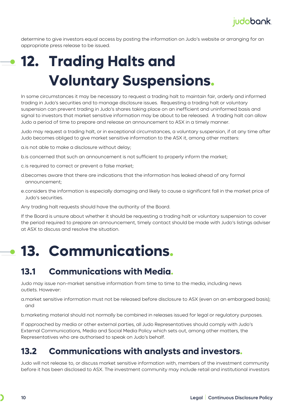determine to give investors equal access by posting the information on Judo's website or arranging for an appropriate press release to be issued.

# <span id="page-9-0"></span>**12. Trading Halts and Voluntary Suspensions.**

In some circumstances it may be necessary to request a trading halt to maintain fair, orderly and informed trading in Judo's securities and to manage disclosure issues. Requesting a trading halt or voluntary suspension can prevent trading in Judo's shares taking place on an inefficient and uninformed basis and signal to investors that market sensitive information may be about to be released. A trading halt can allow Judo a period of time to prepare and release an announcement to ASX in a timely manner.

Judo may request a trading halt, or in exceptional circumstances, a voluntary suspension, if at any time after Judo becomes obliged to give market sensitive information to the ASX it, among other matters:

a.is not able to make a disclosure without delay;

- b.is concerned that such an announcement is not sufficient to properly inform the market;
- c.is required to correct or prevent a false market;
- d.becomes aware that there are indications that the information has leaked ahead of any formal announcement;
- e.considers the information is especially damaging and likely to cause a significant fall in the market price of Judo's securities.
- Any trading halt requests should have the authority of the Board.

If the Board is unsure about whether it should be requesting a trading halt or voluntary suspension to cover the period required to prepare an announcement, timely contact should be made with Judo's listings adviser at ASX to discuss and resolve the situation.

# <span id="page-9-1"></span>**13. Communications.**

#### <span id="page-9-2"></span>**13.1 Communications with Media.**

Judo may issue non-market sensitive information from time to time to the media, including news outlets. However:

a.market sensitive information must not be released before disclosure to ASX (even on an embargoed basis); and

b.marketing material should not normally be combined in releases issued for legal or regulatory purposes.

If approached by media or other external parties, all Judo Representatives should comply with Judo's External Communications, Media and Social Media Policy which sets out, among other matters, the Representatives who are authorised to speak on Judo's behalf.

#### <span id="page-9-3"></span>**13.2 Communications with analysts and investors.**

Judo will not release to, or discuss market sensitive information with, members of the investment community before it has been disclosed to ASX. The investment community may include retail and institutional investors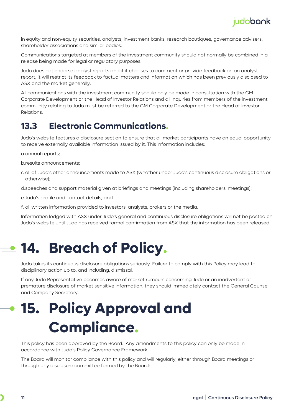in equity and non-equity securities, analysts, investment banks, research boutiques, governance advisers, shareholder associations and similar bodies.

Communications targeted at members of the investment community should not normally be combined in a release being made for legal or regulatory purposes.

Judo does not endorse analyst reports and if it chooses to comment or provide feedback on an analyst report, it will restrict its feedback to factual matters and information which has been previously disclosed to ASX and the market generally.

All communications with the investment community should only be made in consultation with the GM Corporate Development or the Head of Investor Relations and all inquiries from members of the investment community relating to Judo must be referred to the GM Corporate Development or the Head of Investor Relations.

#### <span id="page-10-0"></span>**13.3 Electronic Communications.**

Judo's website features a disclosure section to ensure that all market participants have an equal opportunity to receive externally available information issued by it. This information includes:

a.annual reports;

b.results announcements;

c.all of Judo's other announcements made to ASX (whether under Judo's continuous disclosure obligations or otherwise);

d.speeches and support material given at briefings and meetings (including shareholders' meetings);

e.Judo's profile and contact details; and

f. all written information provided to investors, analysts, brokers or the media.

Information lodged with ASX under Judo's general and continuous disclosure obligations will not be posted on Judo's website until Judo has received formal confirmation from ASX that the information has been released.

# <span id="page-10-1"></span>**14. Breach of Policy.**

Judo takes its continuous disclosure obligations seriously. Failure to comply with this Policy may lead to disciplinary action up to, and including, dismissal.

If any Judo Representative becomes aware of market rumours concerning Judo or an inadvertent or premature disclosure of market sensitive information, they should immediately contact the General Counsel and Company Secretary.

# <span id="page-10-2"></span>**15. Policy Approval and Compliance.**

This policy has been approved by the Board. Any amendments to this policy can only be made in accordance with Judo's Policy Governance Framework.

The Board will monitor compliance with this policy and will regularly, either through Board meetings or through any disclosure committee formed by the Board: